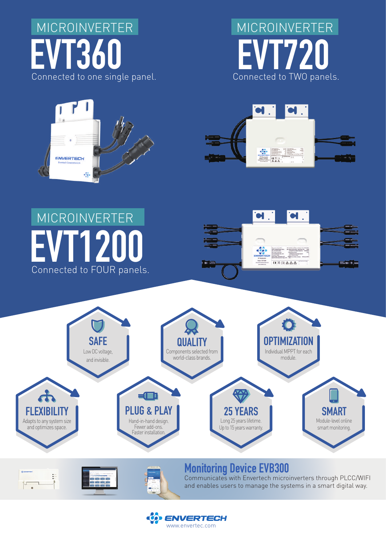







#### **VT120** Connected to FOUR panels. MICROINVERTER

E

 $\sqrt{}$ 







Communicates with Envertech microinverters through PLCC/WIFI and enables users to manage the systems in a smart digital way.

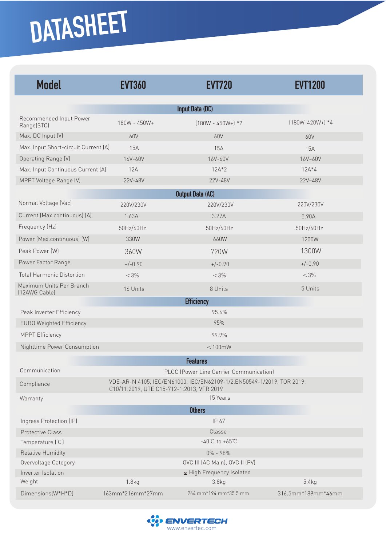## **DATASHEET**

| <b>Model</b>                              | <b>EVT360</b>                                                                                                       | <b>EVT720</b>             | <b>EVT1200</b>        |  |
|-------------------------------------------|---------------------------------------------------------------------------------------------------------------------|---------------------------|-----------------------|--|
| Input Data (DC)                           |                                                                                                                     |                           |                       |  |
| Recommended Input Power<br>Range(STC)     | 180W - 450W+                                                                                                        | $(180W - 450W +)*2$       | $(180W - 420W + )$ *4 |  |
| Max. DC Input (V)                         | 60V                                                                                                                 | 60V                       | 60V                   |  |
| Max. Input Short-circuit Current (A)      | 15A                                                                                                                 | 15A                       | 15A                   |  |
| Operating Range (V)                       | 16V-60V                                                                                                             | 16V-60V                   | 16V~60V               |  |
| Max. Input Continuous Current (A)         | 12A                                                                                                                 | $12A*2$                   | $12A*4$               |  |
| MPPT Voltage Range (V)                    | 22V-48V                                                                                                             | 22V-48V                   | 22V~48V               |  |
| <b>Output Data (AC)</b>                   |                                                                                                                     |                           |                       |  |
| Normal Voltage (Vac)                      | 220V/230V                                                                                                           | 220V/230V                 | 220V/230V             |  |
| Current (Max.continuous) (A)              | 1.63A                                                                                                               | 3.27A                     | 5.90A                 |  |
| Frequency (Hz)                            | 50Hz/60Hz                                                                                                           | 50Hz/60Hz                 | 50Hz/60Hz             |  |
| Power (Max.continuous) (W)                | 330W                                                                                                                | 660W                      | 1200W                 |  |
| Peak Power [W]                            | 360W                                                                                                                | 720W                      | 1300W                 |  |
| Power Factor Range                        | $+/-0.90$                                                                                                           | $+/-0.90$                 | $+/-0.90$             |  |
| <b>Total Harmonic Distortion</b>          | $<$ 3%                                                                                                              | $<$ 3%                    | $<$ 3%                |  |
| Maximum Units Per Branch<br>[12AWG Cable] | 16 Units                                                                                                            | 8 Units                   | 5 Units               |  |
|                                           |                                                                                                                     | <b>Efficiency</b>         |                       |  |
| Peak Inverter Efficiency                  |                                                                                                                     | 95.6%                     |                       |  |
| <b>EURO Weighted Efficiency</b>           |                                                                                                                     | 95%                       |                       |  |
| <b>MPPT Efficiency</b>                    |                                                                                                                     | 99.9%                     |                       |  |
| Nighttime Power Consumption               |                                                                                                                     | $<$ 100 $m$ W             |                       |  |
| <b>Features</b>                           |                                                                                                                     |                           |                       |  |
| Communication                             | PLCC (Power Line Carrier Communication)                                                                             |                           |                       |  |
| Compliance                                | VDE-AR-N 4105, IEC/EN61000, IEC/EN62109-1/2, EN50549-1/2019, TOR 2019,<br>C10/11:2019, UTE C15-712-1:2013, VFR 2019 |                           |                       |  |
| Warranty                                  |                                                                                                                     | 15 Years                  |                       |  |
|                                           |                                                                                                                     | <b>Others</b>             |                       |  |
| Ingress Protection (IP)                   |                                                                                                                     | IP 67                     |                       |  |
| Protective Class                          | Classe I                                                                                                            |                           |                       |  |
| Temperature (C)                           | $-40^{\circ}$ C to $+65^{\circ}$ C                                                                                  |                           |                       |  |
| Relative Humidity                         | 0% - 98%                                                                                                            |                           |                       |  |
| Overvoltage Category                      | OVC III (AC Main), OVC II (PV)                                                                                      |                           |                       |  |
| Inverter Isolation                        |                                                                                                                     | ⊠ High Frequency Isolated |                       |  |
| Weight                                    | 1.8kg                                                                                                               | 3.8 <sub>kq</sub>         | 5.4kg                 |  |
| Dimensions(W*H*D)                         | 163mm*216mm*27mm                                                                                                    | 264 mm*194 mm*35.5 mm     | 316.5mm*189mm*46mm    |  |